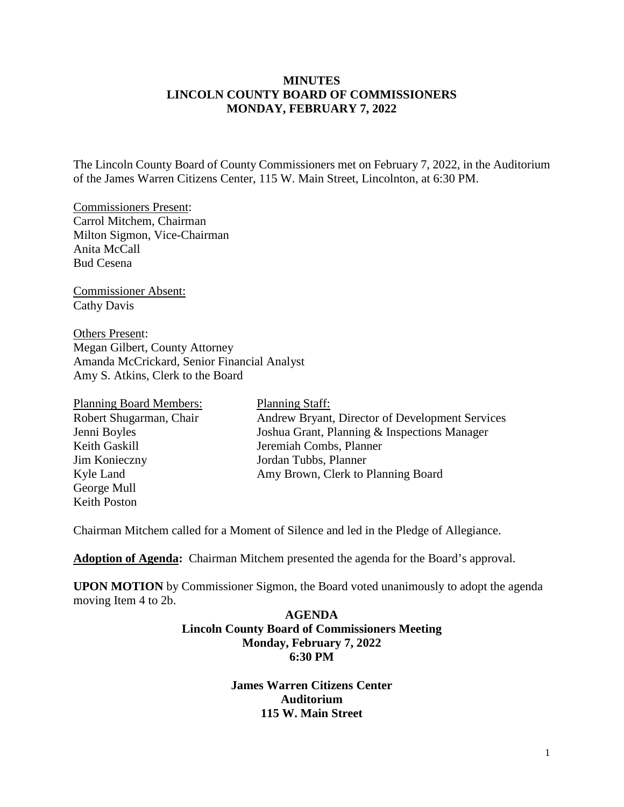## **MINUTES LINCOLN COUNTY BOARD OF COMMISSIONERS MONDAY, FEBRUARY 7, 2022**

The Lincoln County Board of County Commissioners met on February 7, 2022, in the Auditorium of the James Warren Citizens Center, 115 W. Main Street, Lincolnton, at 6:30 PM.

Commissioners Present: Carrol Mitchem, Chairman Milton Sigmon, Vice-Chairman Anita McCall Bud Cesena

Commissioner Absent: Cathy Davis

Others Present: Megan Gilbert, County Attorney Amanda McCrickard, Senior Financial Analyst Amy S. Atkins, Clerk to the Board

| <b>Planning Board Members:</b> | <b>Planning Staff:</b>                          |
|--------------------------------|-------------------------------------------------|
| Robert Shugarman, Chair        | Andrew Bryant, Director of Development Services |
| Jenni Boyles                   | Joshua Grant, Planning & Inspections Manager    |
| Keith Gaskill                  | Jeremiah Combs, Planner                         |
| Jim Konieczny                  | Jordan Tubbs, Planner                           |
| Kyle Land                      | Amy Brown, Clerk to Planning Board              |
| George Mull                    |                                                 |
| Keith Poston                   |                                                 |

Chairman Mitchem called for a Moment of Silence and led in the Pledge of Allegiance.

**Adoption of Agenda:** Chairman Mitchem presented the agenda for the Board's approval.

**UPON MOTION** by Commissioner Sigmon, the Board voted unanimously to adopt the agenda moving Item 4 to 2b.

### **AGENDA Lincoln County Board of Commissioners Meeting Monday, February 7, 2022 6:30 PM**

**James Warren Citizens Center Auditorium 115 W. Main Street**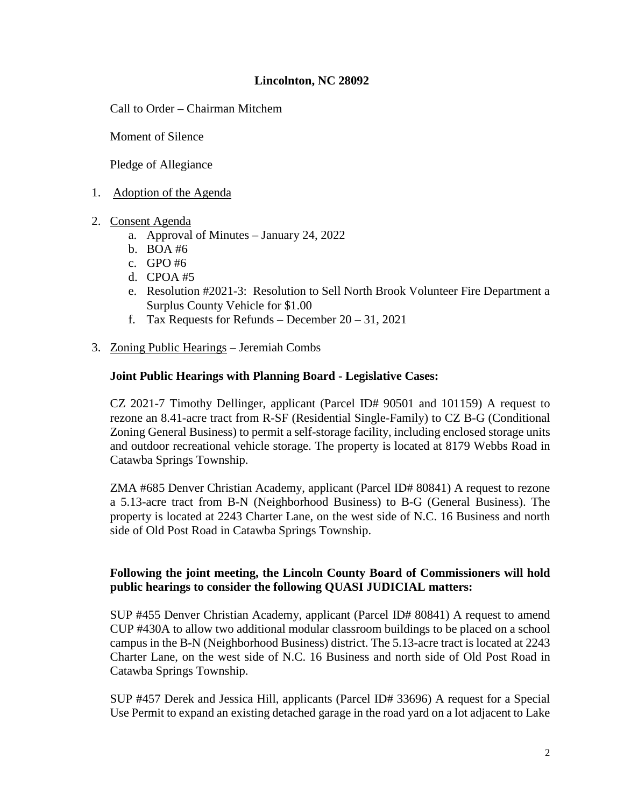## **Lincolnton, NC 28092**

Call to Order – Chairman Mitchem

Moment of Silence

Pledge of Allegiance

- 1. Adoption of the Agenda
- 2. Consent Agenda
	- a. Approval of Minutes [January 24, 2022](https://www.lincolncounty.org/DocumentCenter/View/18493/020722Item2a)
	- b. [BOA #6](https://www.lincolncounty.org/DocumentCenter/View/18468/020722Item2c)
	- c. [GPO #6](https://www.lincolncounty.org/DocumentCenter/View/18469/020722Item2d)
	- d. [CPOA #5](https://www.lincolncounty.org/DocumentCenter/View/18470/020722Item2e)
	- e. [Resolution #2021-3: Resolution to Sell North Brook Volunteer Fire Department a](https://www.lincolncounty.org/DocumentCenter/View/18471/020722Item2f)  [Surplus County Vehicle for \\$1.00](https://www.lincolncounty.org/DocumentCenter/View/18471/020722Item2f)
	- f. [Tax Requests for Refunds –](https://www.lincolncounty.org/DocumentCenter/View/18472/020722Item2g) December  $20 31$ , 2021
- 3. Zoning Public Hearings Jeremiah Combs

## **Joint Public Hearings with Planning Board - Legislative Cases:**

[CZ 2021-7 Timothy Dellinger, applicant](https://www.lincolncounty.org/DocumentCenter/View/18473/020722Item3a) (Parcel ID# 90501 and 101159) A request to rezone an 8.41-acre tract from R-SF (Residential Single-Family) to CZ B-G (Conditional Zoning General Business) to permit a self-storage facility, including enclosed storage units and outdoor recreational vehicle storage. The property is located at 8179 Webbs Road in Catawba Springs Township.

[ZMA #685 Denver Christian Academy, applicant](https://www.lincolncounty.org/DocumentCenter/View/18474/020722Item3b) (Parcel ID# 80841) A request to rezone a 5.13-acre tract from B-N (Neighborhood Business) to B-G (General Business). The property is located at 2243 Charter Lane, on the west side of N.C. 16 Business and north side of Old Post Road in Catawba Springs Township.

## **Following the joint meeting, the Lincoln County Board of Commissioners will hold public hearings to consider the following QUASI JUDICIAL matters:**

[SUP #455 Denver Christian Academy, applicant \(](https://www.lincolncounty.org/DocumentCenter/View/18475/020722Item3c)Parcel ID# 80841) A request to amend CUP #430A to allow two additional modular classroom buildings to be placed on a school campus in the B-N (Neighborhood Business) district. The 5.13-acre tract is located at 2243 Charter Lane, on the west side of N.C. 16 Business and north side of Old Post Road in Catawba Springs Township.

[SUP #457 Derek and Jessica Hill, applicants](https://www.lincolncounty.org/DocumentCenter/View/18476/020722Item3d) (Parcel ID# 33696) A request for a Special Use Permit to expand an existing detached garage in the road yard on a lot adjacent to Lake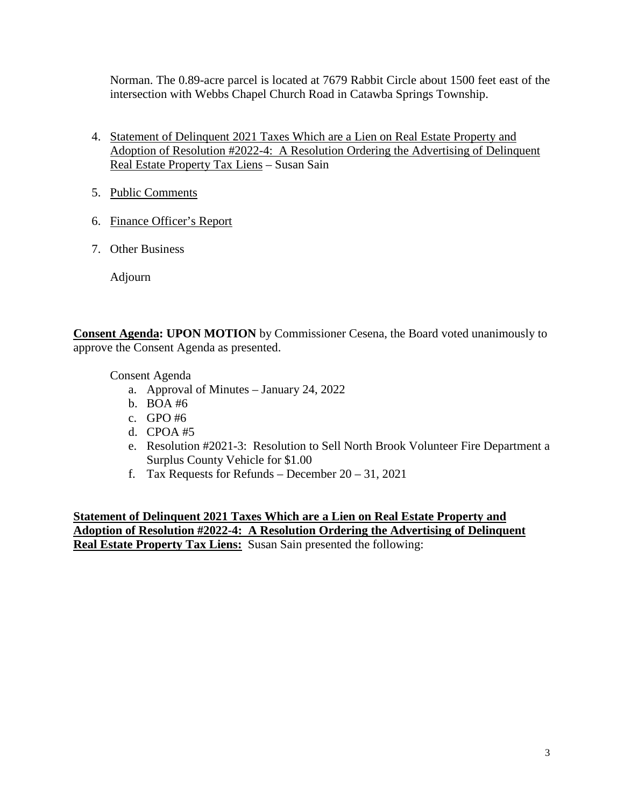Norman. The 0.89-acre parcel is located at 7679 Rabbit Circle about 1500 feet east of the intersection with Webbs Chapel Church Road in Catawba Springs Township.

- 4. [Statement of Delinquent 2021 Taxes Which are a Lien on Real Estate Property and](https://www.lincolncounty.org/DocumentCenter/View/18477/020722Item4)  [Adoption of Resolution #2022-4: A Resolution Ordering the Advertising of Delinquent](https://www.lincolncounty.org/DocumentCenter/View/18477/020722Item4)  [Real Estate Property Tax Liens](https://www.lincolncounty.org/DocumentCenter/View/18477/020722Item4) – Susan Sain
- 5. Public Comments
- 6. [Finance Officer's Report](https://www.lincolncounty.org/DocumentCenter/View/18478/020722Item6)
- 7. Other Business

Adjourn

**Consent Agenda: UPON MOTION** by Commissioner Cesena, the Board voted unanimously to approve the Consent Agenda as presented.

Consent Agenda

- a. Approval of Minutes [January 24, 2022](https://www.lincolncounty.org/DocumentCenter/View/18493/020722Item2a)
- b. [BOA #6](https://www.lincolncounty.org/DocumentCenter/View/18468/020722Item2c)
- c. [GPO #6](https://www.lincolncounty.org/DocumentCenter/View/18469/020722Item2d)
- d. [CPOA #5](https://www.lincolncounty.org/DocumentCenter/View/18470/020722Item2e)
- e. [Resolution #2021-3: Resolution to Sell North Brook Volunteer Fire Department a](https://www.lincolncounty.org/DocumentCenter/View/18471/020722Item2f)  [Surplus County Vehicle for \\$1.00](https://www.lincolncounty.org/DocumentCenter/View/18471/020722Item2f)
- f. [Tax Requests for Refunds –](https://www.lincolncounty.org/DocumentCenter/View/18472/020722Item2g) December 20 31, 2021

**Statement of Delinquent 2021 Taxes Which are a Lien on Real Estate Property and Adoption of Resolution #2022-4: A Resolution Ordering the Advertising of Delinquent Real Estate Property Tax Liens:** Susan Sain presented the following: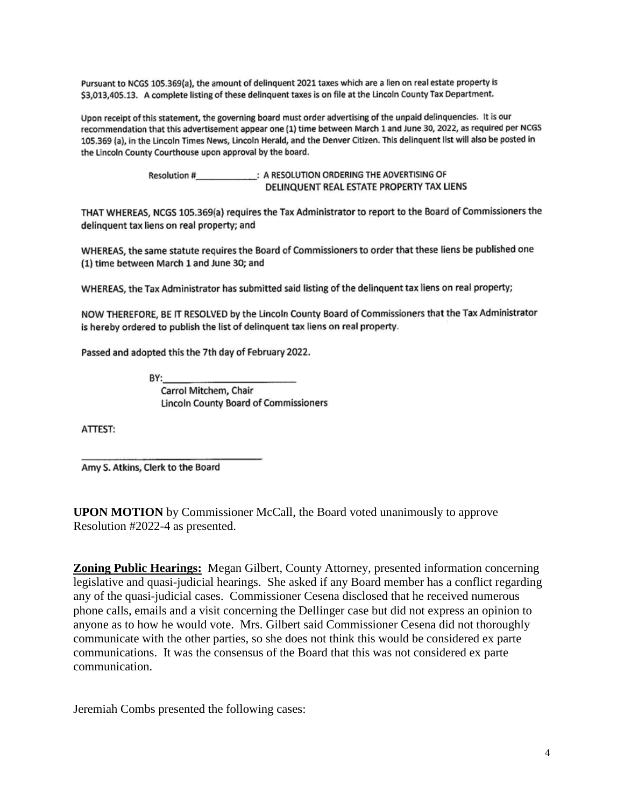Pursuant to NCGS 105.369(a), the amount of delinquent 2021 taxes which are a lien on real estate property is \$3,013,405.13. A complete listing of these delinquent taxes is on file at the Lincoln County Tax Department.

Upon receipt of this statement, the governing board must order advertising of the unpaid delinquencies. It is our recommendation that this advertisement appear one (1) time between March 1 and June 30, 2022, as required per NCGS 105.369 (a), in the Lincoln Times News, Lincoln Herald, and the Denver Citizen. This delinquent list will also be posted in the Lincoln County Courthouse upon approval by the board.

> Resolution #\_\_\_\_\_\_\_\_\_\_\_\_\_\_: A RESOLUTION ORDERING THE ADVERTISING OF DELINQUENT REAL ESTATE PROPERTY TAX LIENS

THAT WHEREAS, NCGS 105.369(a) requires the Tax Administrator to report to the Board of Commissioners the delinquent tax liens on real property; and

WHEREAS, the same statute requires the Board of Commissioners to order that these liens be published one (1) time between March 1 and June 30; and

WHEREAS, the Tax Administrator has submitted said listing of the delinquent tax liens on real property;

NOW THEREFORE, BE IT RESOLVED by the Lincoln County Board of Commissioners that the Tax Administrator is hereby ordered to publish the list of delinquent tax liens on real property.

Passed and adopted this the 7th day of February 2022.

BY:

Carrol Mitchem, Chair **Lincoln County Board of Commissioners** 

ATTEST:

Amy S. Atkins, Clerk to the Board

**UPON MOTION** by Commissioner McCall, the Board voted unanimously to approve Resolution #2022-4 as presented.

**Zoning Public Hearings:** Megan Gilbert, County Attorney, presented information concerning legislative and quasi-judicial hearings. She asked if any Board member has a conflict regarding any of the quasi-judicial cases. Commissioner Cesena disclosed that he received numerous phone calls, emails and a visit concerning the Dellinger case but did not express an opinion to anyone as to how he would vote. Mrs. Gilbert said Commissioner Cesena did not thoroughly communicate with the other parties, so she does not think this would be considered ex parte communications. It was the consensus of the Board that this was not considered ex parte communication.

Jeremiah Combs presented the following cases: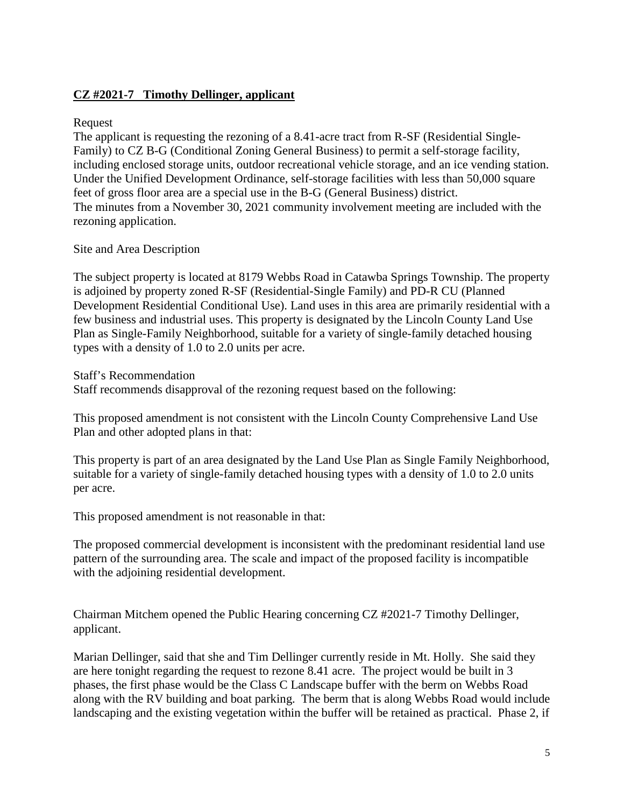# **CZ #2021-7 Timothy Dellinger, applicant**

### Request

The applicant is requesting the rezoning of a 8.41-acre tract from R-SF (Residential Single-Family) to CZ B-G (Conditional Zoning General Business) to permit a self-storage facility, including enclosed storage units, outdoor recreational vehicle storage, and an ice vending station. Under the Unified Development Ordinance, self-storage facilities with less than 50,000 square feet of gross floor area are a special use in the B-G (General Business) district. The minutes from a November 30, 2021 community involvement meeting are included with the rezoning application.

# Site and Area Description

The subject property is located at 8179 Webbs Road in Catawba Springs Township. The property is adjoined by property zoned R-SF (Residential-Single Family) and PD-R CU (Planned Development Residential Conditional Use). Land uses in this area are primarily residential with a few business and industrial uses. This property is designated by the Lincoln County Land Use Plan as Single-Family Neighborhood, suitable for a variety of single-family detached housing types with a density of 1.0 to 2.0 units per acre.

Staff's Recommendation Staff recommends disapproval of the rezoning request based on the following:

This proposed amendment is not consistent with the Lincoln County Comprehensive Land Use Plan and other adopted plans in that:

This property is part of an area designated by the Land Use Plan as Single Family Neighborhood, suitable for a variety of single-family detached housing types with a density of 1.0 to 2.0 units per acre.

This proposed amendment is not reasonable in that:

The proposed commercial development is inconsistent with the predominant residential land use pattern of the surrounding area. The scale and impact of the proposed facility is incompatible with the adjoining residential development.

Chairman Mitchem opened the Public Hearing concerning CZ #2021-7 Timothy Dellinger, applicant.

Marian Dellinger, said that she and Tim Dellinger currently reside in Mt. Holly. She said they are here tonight regarding the request to rezone 8.41 acre. The project would be built in 3 phases, the first phase would be the Class C Landscape buffer with the berm on Webbs Road along with the RV building and boat parking. The berm that is along Webbs Road would include landscaping and the existing vegetation within the buffer will be retained as practical. Phase 2, if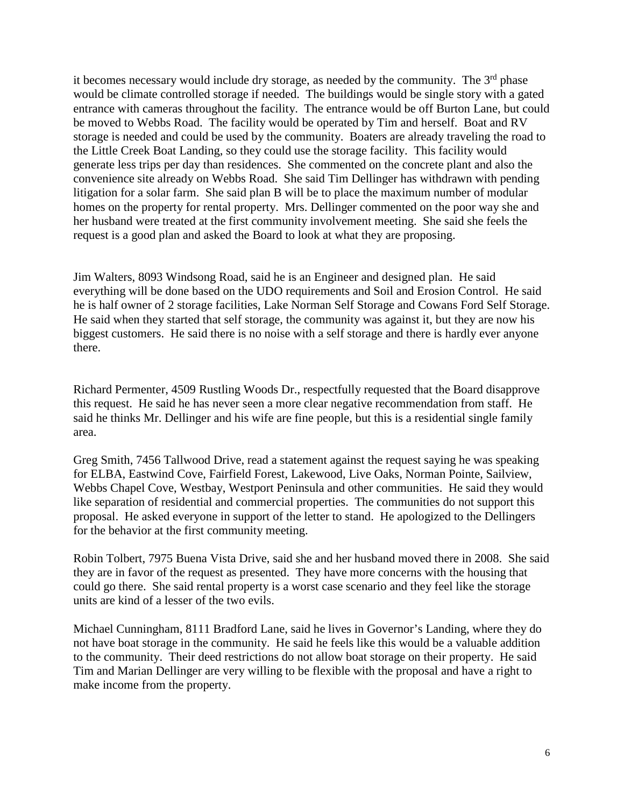it becomes necessary would include dry storage, as needed by the community. The  $3<sup>rd</sup>$  phase would be climate controlled storage if needed. The buildings would be single story with a gated entrance with cameras throughout the facility. The entrance would be off Burton Lane, but could be moved to Webbs Road. The facility would be operated by Tim and herself. Boat and RV storage is needed and could be used by the community. Boaters are already traveling the road to the Little Creek Boat Landing, so they could use the storage facility. This facility would generate less trips per day than residences. She commented on the concrete plant and also the convenience site already on Webbs Road. She said Tim Dellinger has withdrawn with pending litigation for a solar farm. She said plan B will be to place the maximum number of modular homes on the property for rental property. Mrs. Dellinger commented on the poor way she and her husband were treated at the first community involvement meeting. She said she feels the request is a good plan and asked the Board to look at what they are proposing.

Jim Walters, 8093 Windsong Road, said he is an Engineer and designed plan. He said everything will be done based on the UDO requirements and Soil and Erosion Control. He said he is half owner of 2 storage facilities, Lake Norman Self Storage and Cowans Ford Self Storage. He said when they started that self storage, the community was against it, but they are now his biggest customers. He said there is no noise with a self storage and there is hardly ever anyone there.

Richard Permenter, 4509 Rustling Woods Dr., respectfully requested that the Board disapprove this request. He said he has never seen a more clear negative recommendation from staff. He said he thinks Mr. Dellinger and his wife are fine people, but this is a residential single family area.

Greg Smith, 7456 Tallwood Drive, read a statement against the request saying he was speaking for ELBA, Eastwind Cove, Fairfield Forest, Lakewood, Live Oaks, Norman Pointe, Sailview, Webbs Chapel Cove, Westbay, Westport Peninsula and other communities. He said they would like separation of residential and commercial properties. The communities do not support this proposal. He asked everyone in support of the letter to stand. He apologized to the Dellingers for the behavior at the first community meeting.

Robin Tolbert, 7975 Buena Vista Drive, said she and her husband moved there in 2008. She said they are in favor of the request as presented. They have more concerns with the housing that could go there. She said rental property is a worst case scenario and they feel like the storage units are kind of a lesser of the two evils.

Michael Cunningham, 8111 Bradford Lane, said he lives in Governor's Landing, where they do not have boat storage in the community. He said he feels like this would be a valuable addition to the community. Their deed restrictions do not allow boat storage on their property. He said Tim and Marian Dellinger are very willing to be flexible with the proposal and have a right to make income from the property.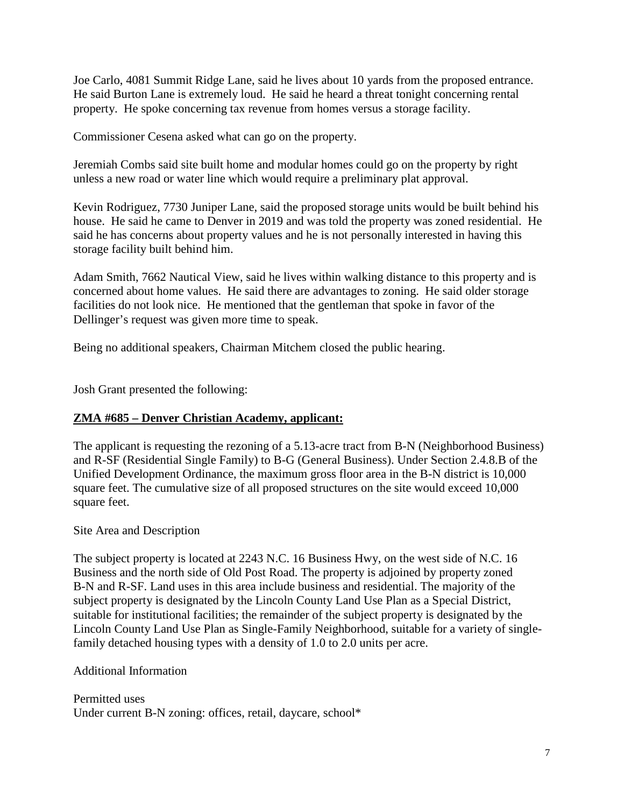Joe Carlo, 4081 Summit Ridge Lane, said he lives about 10 yards from the proposed entrance. He said Burton Lane is extremely loud. He said he heard a threat tonight concerning rental property. He spoke concerning tax revenue from homes versus a storage facility.

Commissioner Cesena asked what can go on the property.

Jeremiah Combs said site built home and modular homes could go on the property by right unless a new road or water line which would require a preliminary plat approval.

Kevin Rodriguez, 7730 Juniper Lane, said the proposed storage units would be built behind his house. He said he came to Denver in 2019 and was told the property was zoned residential. He said he has concerns about property values and he is not personally interested in having this storage facility built behind him.

Adam Smith, 7662 Nautical View, said he lives within walking distance to this property and is concerned about home values. He said there are advantages to zoning. He said older storage facilities do not look nice. He mentioned that the gentleman that spoke in favor of the Dellinger's request was given more time to speak.

Being no additional speakers, Chairman Mitchem closed the public hearing.

Josh Grant presented the following:

#### **ZMA #685 – Denver Christian Academy, applicant:**

The applicant is requesting the rezoning of a 5.13-acre tract from B-N (Neighborhood Business) and R-SF (Residential Single Family) to B-G (General Business). Under Section 2.4.8.B of the Unified Development Ordinance, the maximum gross floor area in the B-N district is 10,000 square feet. The cumulative size of all proposed structures on the site would exceed 10,000 square feet.

#### Site Area and Description

The subject property is located at 2243 N.C. 16 Business Hwy, on the west side of N.C. 16 Business and the north side of Old Post Road. The property is adjoined by property zoned B-N and R-SF. Land uses in this area include business and residential. The majority of the subject property is designated by the Lincoln County Land Use Plan as a Special District, suitable for institutional facilities; the remainder of the subject property is designated by the Lincoln County Land Use Plan as Single-Family Neighborhood, suitable for a variety of singlefamily detached housing types with a density of 1.0 to 2.0 units per acre.

Additional Information

Permitted uses Under current B-N zoning: offices, retail, daycare, school\*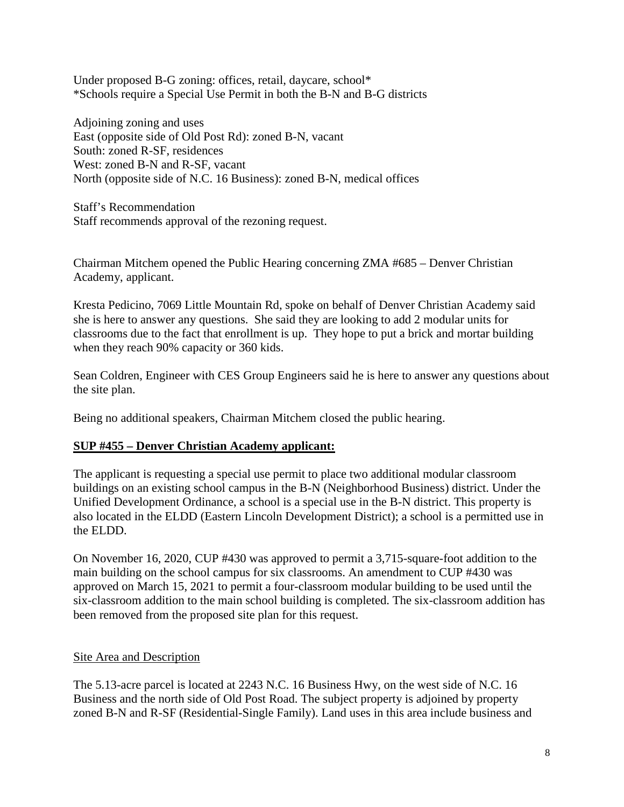Under proposed B-G zoning: offices, retail, daycare, school\* \*Schools require a Special Use Permit in both the B-N and B-G districts

Adjoining zoning and uses East (opposite side of Old Post Rd): zoned B-N, vacant South: zoned R-SF, residences West: zoned B-N and R-SF, vacant North (opposite side of N.C. 16 Business): zoned B-N, medical offices

Staff's Recommendation Staff recommends approval of the rezoning request.

Chairman Mitchem opened the Public Hearing concerning ZMA #685 – Denver Christian Academy, applicant.

Kresta Pedicino, 7069 Little Mountain Rd, spoke on behalf of Denver Christian Academy said she is here to answer any questions. She said they are looking to add 2 modular units for classrooms due to the fact that enrollment is up. They hope to put a brick and mortar building when they reach 90% capacity or 360 kids.

Sean Coldren, Engineer with CES Group Engineers said he is here to answer any questions about the site plan.

Being no additional speakers, Chairman Mitchem closed the public hearing.

# **SUP #455 – Denver Christian Academy applicant:**

The applicant is requesting a special use permit to place two additional modular classroom buildings on an existing school campus in the B-N (Neighborhood Business) district. Under the Unified Development Ordinance, a school is a special use in the B-N district. This property is also located in the ELDD (Eastern Lincoln Development District); a school is a permitted use in the ELDD.

On November 16, 2020, CUP #430 was approved to permit a 3,715-square-foot addition to the main building on the school campus for six classrooms. An amendment to CUP #430 was approved on March 15, 2021 to permit a four-classroom modular building to be used until the six-classroom addition to the main school building is completed. The six-classroom addition has been removed from the proposed site plan for this request.

# Site Area and Description

The 5.13-acre parcel is located at 2243 N.C. 16 Business Hwy, on the west side of N.C. 16 Business and the north side of Old Post Road. The subject property is adjoined by property zoned B-N and R-SF (Residential-Single Family). Land uses in this area include business and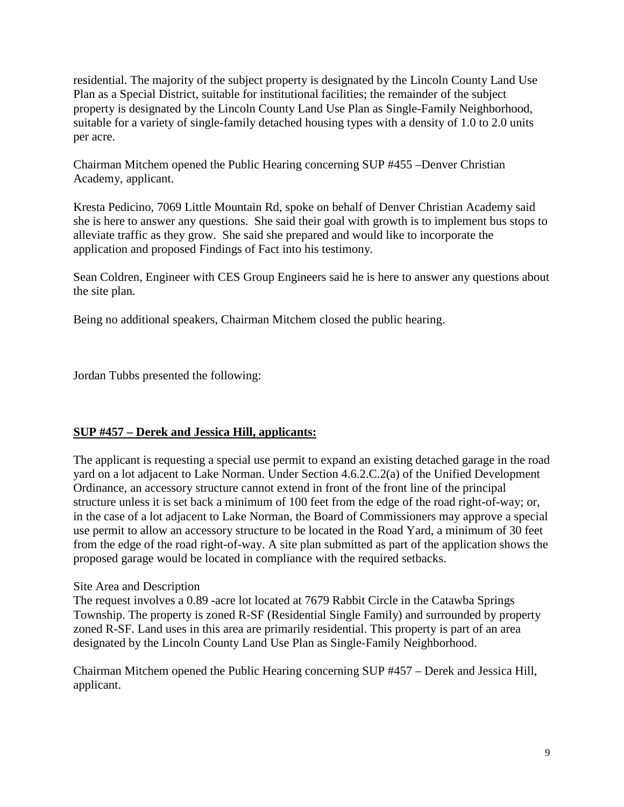residential. The majority of the subject property is designated by the Lincoln County Land Use Plan as a Special District, suitable for institutional facilities; the remainder of the subject property is designated by the Lincoln County Land Use Plan as Single-Family Neighborhood, suitable for a variety of single-family detached housing types with a density of 1.0 to 2.0 units per acre.

Chairman Mitchem opened the Public Hearing concerning SUP #455 –Denver Christian Academy, applicant.

Kresta Pedicino, 7069 Little Mountain Rd, spoke on behalf of Denver Christian Academy said she is here to answer any questions. She said their goal with growth is to implement bus stops to alleviate traffic as they grow. She said she prepared and would like to incorporate the application and proposed Findings of Fact into his testimony.

Sean Coldren, Engineer with CES Group Engineers said he is here to answer any questions about the site plan.

Being no additional speakers, Chairman Mitchem closed the public hearing.

Jordan Tubbs presented the following:

# **SUP #457 – Derek and Jessica Hill, applicants:**

The applicant is requesting a special use permit to expand an existing detached garage in the road yard on a lot adjacent to Lake Norman. Under Section 4.6.2.C.2(a) of the Unified Development Ordinance, an accessory structure cannot extend in front of the front line of the principal structure unless it is set back a minimum of 100 feet from the edge of the road right-of-way; or, in the case of a lot adjacent to Lake Norman, the Board of Commissioners may approve a special use permit to allow an accessory structure to be located in the Road Yard, a minimum of 30 feet from the edge of the road right-of-way. A site plan submitted as part of the application shows the proposed garage would be located in compliance with the required setbacks.

# Site Area and Description

The request involves a 0.89 -acre lot located at 7679 Rabbit Circle in the Catawba Springs Township. The property is zoned R-SF (Residential Single Family) and surrounded by property zoned R-SF. Land uses in this area are primarily residential. This property is part of an area designated by the Lincoln County Land Use Plan as Single-Family Neighborhood.

Chairman Mitchem opened the Public Hearing concerning SUP #457 – Derek and Jessica Hill, applicant.